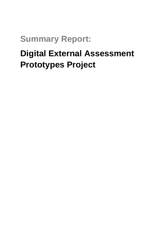## **Summary Report:**

# **Digital External Assessment Prototypes Project**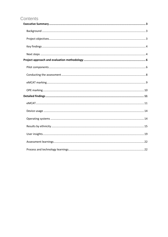### Contents

<span id="page-1-0"></span>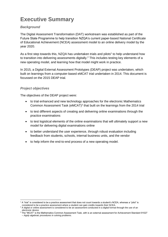## **Executive Summary**

#### <span id="page-2-0"></span>*Background*

The Digital Assessment Transformation (DAT) workstream was established as part of the Future State Programme to help transition NZQA's current paper-based National Certificate of Educational Achievement (NCEA) assessment model to an online delivery model by the year 2020.

As a first step towards this, NZQA has undertaken trials and pilots<sup>1</sup> to help understand how to transition into delivering assessments digitally.<sup>2</sup> This includes testing key elements of a new operating model, and learning how that model might work in practice.

In 2015, a Digital External Assessment Prototypes (DEAP) project was undertaken, which built on learnings from a computer-based eMCAT trial undertaken in 2014. This document is focussed on the 2015 DEAP trial.

#### <span id="page-2-1"></span>*Project objectives*

The objectives of the DEAP project were:

- to trial enhanced and new technology approaches for the electronic Mathematics Common Assessment Task (eMCAT)<sup>3</sup> that built on the learnings from the 2014 trial
- to test different aspects of creating and delivering online examinations through the practice examinations
- to test logistical elements of the online examinations that will ultimately support a new model for delivering digital examinations online
- to better understand the user experience, through robust evaluation including feedback from students, schools, internal business units, and the vendor
- to help inform the end-to-end process of a new operating model.

<sup>-</sup><sup>1</sup> A "trial" is considered to be a practice assessment that does not count towards a student's NCEA, whereas a "pilot" is considered to be a practice assessment where a student can gain credits towards their NCEA.

<sup>&</sup>lt;sup>2</sup> A digital or online assessment is considered to be an assessment conducted in a digital format through the use of an electronic device.

<sup>3</sup> The "MCAT" is the Mathematics Common Assessment Task, with is an external assessment for Achievement Standard 91027 – *Apply algebraic procedures in solving problems*.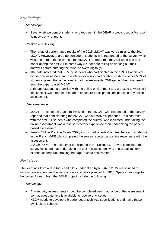#### <span id="page-3-0"></span>*Key findings*

#### *Technology*

 Seventy-six percent of students who took part in the DEAP projects used a Microsoft Windows environment.

#### *Creation and delivery*

- The range of performance results of the 2015 eMCAT was very similar to the 2014 MCAT. However, a large percentage of students who responded to the survey (which was one third of those who sat the eMCAT) reported that they still used pen and paper during the eMCAT in some way (i.e. for note taking or working out their answers before entering their final answers digitally).
- The data indicated that 5-6% of students who participated in the eMCAT achieved higher grades of Merit and Excellence over non-participating students. While 58% of students gained the same result in both assessments, 26% gained their final result from the paper-based MCAT.
- Although students are familiar with the online environment and are used to working in this context, work needs to be done to ensure participants confidence in any online assessment.

#### *User experience*

- *eMCAT -* most of the teachers involved in the eMCAT who responded to the survey reported that administering the eMCAT was a positive experience. This contrasts with the eMCAT students who completed the survey, who indicated undertaking the online assessment was a less satisfactory experience than undertaking the paperbased assessment.
- *French Online Practice Exam (OPE) -* most participants (both teachers and students) in the French OPE who completed the survey reported a positive experience with the assessment.
- *Science OPE* the majority of participants in the Science OPE who completed the survey indicated that undertaking the online assessment was a less satisfactory experience than undertaking the paper-based assessment.

#### <span id="page-3-1"></span>*Next steps*

The learnings from all the trials and pilots undertaken by NZQA in 2015 will be used to inform development and delivery of trials and pilots planned for 2016. Specific learnings to be carried forward from the DEAP project include the following.

#### *Technology*

- Any security assessments should be completed well in advance of the assessment so that adequate time is available to resolve any issues.
- NZQA needs to develop a broader set of technical specifications and make these available to schools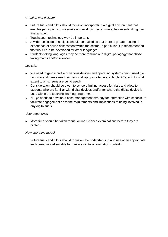#### *Creation and delivery*

- Future trials and pilots should focus on incorporating a digital environment that enables participants to note-take and work on their answers, before submitting their final answer.
- Touchsceen technology *may* be important.
- A wider selection of subjects should be trialled so that there is greater testing of experience of online assessment within the sector. In particular, it is recommended that trial OPEs be developed for other languages.
- Students taking languages may be more familiar with digital pedagogy than those taking maths and/or sciences.

#### *Logistics*

- We need to gain a profile of various devices and operating systems being used (i.e. how many students use their personal laptops or tablets, schools PCs, and to what extent touchscreens are being used).
- Consideration should be given to schools limiting access for trials and pilots to students who are familiar with digital devices and/or for where the digital device is used within the teaching learning programme.
- NZQA needs to develop a case management strategy for interaction with schools, to facilitate engagement as to the requirements and implications of being involved in any digital trials.

#### *User experience*

 More time should be taken to trial online Science examinations before they are piloted.

#### *New operating model*

Future trials and pilots should focus on the understanding and use of an appropriate end-to-end model suitable for use in a digital examination context.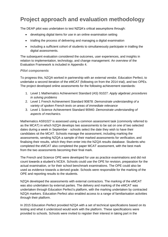## <span id="page-5-0"></span>**Project approach and evaluation methodology**

The DEAP pilot was undertaken to test NZQA's critical assumptions through:

- developing digital items for use in an online examination setting
- trialling the process of delivering and managing a digital examination
- including a sufficient cohort of students to simultaneously participate in trialling the digital assessments.

The subsequent evaluation considered the outcomes, user experiences, and insights in relation to implementation, technology, and change management. An overview of the Evaluation Framework is included in Appendix 4.

#### <span id="page-5-1"></span>*Pilot components*

To progress this, NZQA worked in partnership with an external vendor, Education Perfect, to undertake a second iteration of the eMCAT (following on from the 2014 trial), and two OPEs. The project developed online assessments for the following achievement standards:

- 1. Level 1 Mathematics Achievement Standard (AS) 91027: *Apply algebraic procedures in solving problems*
- 2. Level 1 French Achievement Standard 90878: *Demonstrate understanding of a variety of spoken French texts on areas of immediate relevance*
- 3. Level 1 Science Achievement Standard 90940: *Demonstrate understanding of aspects of mechanics.*

Mathematics AS91027 is assessed using a common assessment task (commonly referred to as the MCAT) in which NZQA develops two assessments to be sat on one of two selected dates during a week in September - schools select the date they wish to have their candidates sit the MCAT. Schools manage the assessment, including marking the assessments, sending NZQA a sample of their marked assessments for verification, and finalising their results, which they then enter into the NZQA results database. Students who completed the eMCAT also completed the paper MCAT assessment, with the best mark from the two assessments becoming their final mark.

The French and Science OPE were developed for use as practice examinations and did not count towards a student's NCEA. Schools could use the OPE for revision, preparation for the actual examination, or for their school benchmark examinations. The OPE could also be used as evidence towards a derived grade. Schools were responsible for the marking of the OPE and reporting results to the students.

NZQA developed the assessments with external contractors. The marking of the eMCAT was also undertaken by external parties. The delivery and marking of the eMCAT was undertaken through Education Perfect's platform, with the marking undertaken by contracted NZQA markers. Education Perfect also enabled access to a range of familiarisation activities through their platform.

In 2015 Education Perfect provided NZQA with a set of technical specifications based on its testing and what it understood would work with the platform. These specifications were provided to schools. Schools were invited to register their interest in taking part in the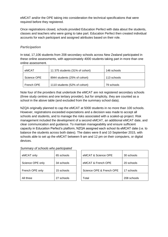eMCAT and/or the OPE taking into consideration the technical specifications that were required before they registered.

Once registrations closed, schools provided Education Perfect with data about the students, classes and teachers who were going to take part. Education Perfect then created individual accounts for each participant and assigned attributes based on their role.

#### *Participation*

In total, 17,106 students from 208 secondary schools across New Zealand participated in these online assessments, with approximately 4000 students taking part in more than one online assessment.

| eMCAT       | 11 375 students (31% of cohort) | 146 schools |
|-------------|---------------------------------|-------------|
| Science OPE | 8944 students (25% of cohort)   | 113 schools |
| French OPE  | 1110 students (52% of cohort)   | 79 schools  |

Note four of the providers that undertook the eMCAT are not registered secondary schools (three study centres and one tertiary provider), but for simplicity, they are counted as a school in the above table (and excluded from the summary school data).

NZQA originally planned to cap the eMCAT at 5000 students in no more than 100 schools. However, registrations exceeded expectations and a decision was made to accept all schools and students, and to manage the risks associated with a scaled-up project. Risk management included the development of a second eMCAT, an additional eMCAT date, and clear communication and guidance. To maintain manageability and ensure sufficient capacity in Education Perfect's platform, NZQA assigned each school its eMCAT date (i.e. to balance the students across both dates). The dates were 8 and 10 September 2015, with schools able to set up the eMCAT between 9 am and 12 pm on their computers, or digital devices.

| Summary of schools who participated |  |
|-------------------------------------|--|
|-------------------------------------|--|

| eMCAT only       | 65 schools |  |
|------------------|------------|--|
| Science OPE only | 34 schools |  |
| French OPE only  | 15 schools |  |
| All three        | 27 schools |  |

| eMCAT only       | 65 schools | eMCAT & Science OPE      | 30 schools  |  |
|------------------|------------|--------------------------|-------------|--|
| Science OPE only | 34 schools | eMCAT & French OPE       | 20 schools  |  |
| French OPE only  | 15 schools | Science OPE & French OPE | 17 schools  |  |
| All three        | 27 schools | Total                    | 208 schools |  |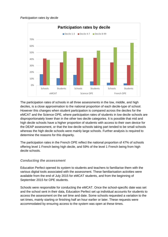



The participation rates of schools in all three assessments in the low, middle, and high deciles, is a close approximation to the national proportion of each decile-type of school. However this changes when student participation is compared across the deciles for the eMCAT and the Science OPE, where participation rates of students in low decile schools are disproportionately lower than in the other two decile categories. It is possible that mid and high decile schools have a higher proportion of students with access to their own device for the DEAP assessment, or that the low decile schools taking part tended to be small schools whereas the high decile schools were mainly large schools. Further analysis is required to determine the reasons for this disparity.

The participation rates in the French OPE reflect the national proportion of 47% of schools offering level 1 French being high decile, and 59% of the level 1 French being from high decile schools.

#### <span id="page-7-0"></span>*Conducting the assessment*

Education Perfect opened its system to students and teachers to familiarise them with the various digital tools associated with the assessment. These familiarisation activities were available from the end of July 2015 for eMCAT students, and from the beginning of September 2015 for OPE students.

Schools were responsible for conducting the eMCAT. Once the school-specific date was set and the school sent in their data, Education Perfect set up individual accounts for students to access the assessment on the set time and date. Some schools requested a variation to the set times, mainly starting or finishing half an hour earlier or later. These requests were accommodated by ensuring access to the system was open at these times.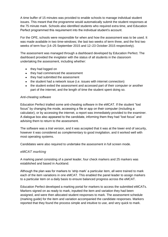A time buffer of 15 minutes was provided to enable schools to manage individual student issues. This meant that the programme would automatically submit the student responses at the 75 minute mark. Schools also identified students who required extra time, and Education Perfect programmed this requirement into the individual student's account.

For the OPE, schools were responsible for when and how the assessment was to be used. It was made available in two time-windows; the last two weeks of term three, and the first two weeks of term four (14–25 September 2015 and 12–23 October 2015 respectively).

The assessment was managed through a dashboard developed by Education Perfect. The dashboard provided the invigilator with the status of all students in the classroom undertaking the assessment, including whether:

- they had logged on
- they had commenced the assessment
- they had submitted the assessment
- the student had a network issue (i.e. issues with internet connection)
- the student exited the assessment and accessed part of their computer or another part of the internet, and the length of time the student spent doing so.

#### *Anti-cheating software*

Education Perfect trialled some anti-cheating software in the eMCAT. If the student "lost focus" by changing the mode, accessing a file or app on their computer (including a calculator), or by accessing the internet, a report was immediately provided to the examiner. A dialogue box also appeared to the candidate, informing them they had "lost focus" and advising them to return to the assessment.

The software was a trial version, and it was accepted that it was at the lower end of security, however it was considered as complementary to good invigilation, and it worked well with most operating systems.

Candidates were also required to undertake the assessment in full screen mode.

#### <span id="page-8-0"></span>*eMCAT marking*

A marking panel consisting of a panel leader, four check markers and 25 markers was established and based in Auckland.

Although the plan was for markers to 'strip mark' a particular item, all were trained to mark each of the item variations in one eMCAT. This enabled the panel leader to assign markers to a particular item on a daily basis to ensure balanced progress across the eMCAT.

Education Perfect developed a marking portal for markers to access the submitted eMCATs. Markers signed on as ready to mark, inputted the item and variation they had been assigned, and were then allocated student responses to mark. The assessment schedule (marking guide) for the item and variation accompanied the candidate responses. Markers reported that they found the process simple and intuitive to use, and very quick to mark.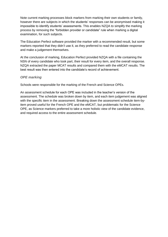Note current marking processes block markers from marking their own students or family, however there are subjects in which the students' responses can be anonymised making it impossible to identify students' assessments. This enables NZQA to simplify the marking process by removing the "forbidden provider or candidate" rule when marking a digital examination, for such subjects.

The Education Perfect software provided the marker with a recommended result, but some markers reported that they didn't use it, as they preferred to read the candidate response and make a judgement themselves.

At the conclusion of marking, Education Perfect provided NZQA with a file containing the NSN of every candidate who took part, their result for every item, and the overall response. NZQA extracted the paper MCAT results and compared them with the eMCAT results. The best result was then entered into the candidate's record of achievement.

#### <span id="page-9-0"></span>*OPE marking*

Schools were responsible for the marking of the French and Science OPEs.

An assessment schedule for each OPE was included in the teacher's version of the assessment. The schedule was broken down by item, and each item judgement was aligned with the specific item in the assessment. Breaking down the assessment schedule item-byitem proved useful for the French OPE and the eMCAT, but problematic for the Science OPE, as Science markers preferred to take a more holistic view of the candidate evidence, and required access to the entire assessment schedule.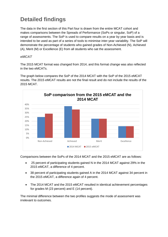## <span id="page-10-0"></span>**Detailed findings**

The data in the first section of this Part four is drawn from the entire MCAT cohort and makes comparisons between the Spreads of Performance (SoPs or singular, SoP) of a range of assessments. The SoP is used to compare results on a year by year basis and is intended to be used as part of a series of tools to minimise inter-year variability. The SoP will demonstrate the percentage of students who gained grades of Non-Achieved (N), Achieved (A), Merit (M) or Excellence (E) from all students who sat the assessment.

#### <span id="page-10-1"></span>*eMCAT*

The 2015 MCAT format was changed from 2014, and this format change was also reflected in the two eMCATs.

The graph below compares the SoP of the 2014 MCAT with the SoP of the 2015 eMCAT results. The 2015 eMCAT results are not the final result and do not include the results of the 2015 MCAT.



Comparisons between the SoPs of the 2014 MCAT and the 2015 eMCAT are as follows:

- 25 percent of participating students gained N in the 2014 MCAT against 29% in the 2015 eMCAT, a difference of 4 percent.
- 38 percent of participating students gained A in the 2014 MCAT against 34 percent in the 2015 eMCAT, a difference again of 4 percent.
- The 2014 MCAT and the 2015 eMCAT resulted in identical achievement percentages for grades M (23 percent) and E (14 percent).

The minimal difference between the two profiles suggests the mode of assessment was irrelevant to outcomes.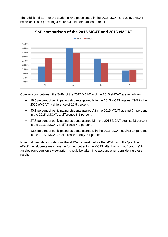

The additional SoP for the students who participated in the 2015 MCAT and 2015 eMCAT below assists in providing a more evident comparison of results.

Comparisons between the SoPs of the 2015 MCAT and the 2015 eMCAT are as follows:

- 18.5 percent of participating students gained N in the 2015 MCAT against 29% in the 2015 eMCAT, a difference of 10.5 percent.
- 40.1 percent of participating students gained A in the 2015 MCAT against 34 percent in the 2015 eMCAT, a difference 6.1 percent.
- 27.8 percent of participating students gained M in the 2015 MCAT against 23 percent in the 2015 eMCAT, a difference 4.8 percent
- 13.6 percent of participating students gained E in the 2015 MCAT against 14 percent in the 2015 eMCAT, a difference of only 0.4 percent.

Note that candidates undertook the eMCAT a week before the MCAT and the 'practice effect' (i.e. students may have performed better in the MCAT after having had "practice" in an electronic version a week prior) should be taken into account when considering these results.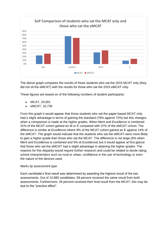

The above graph compares the results of those students who sat the 2015 MCAT only (they did not sit the eMCAT) with the results for those who sat the 2015 eMCAT only.

These figures are based on of the following numbers of student participants:

- MCAT, 24,001
- eMCAT, 10,739

From this graph it would appear that those students who sat the paper-based MCAT only had a slight advantage in terms of gaining the standard (76% against 72%) but this changes when a comparison is made at the higher grades. When Merit and Excellence is combined 31% of the MCAT cohort gained an M or E compared with 37% of the eMCAT cohort. The difference is similar at Excellence where 9% of the MCAT cohort gained an E against 14% of the eMCAT. The graph would indicate that the students who sat the eMCAT were more likely to gain a higher grade than those who sat the MCAT. The difference is not large (6% when Merit and Excellence is combined and 5% at Excellence) but it would appear at first glance that those who sat the eMCAT had a slight advantage in attaining the higher grades. The reasons for this disparity would require further research and could be related to decile rating, school characteristics such as rural or urban, confidence in the use of technology or even the nature of the devices used.

#### *Marks by assessment type*

Each candidate's final result was determined by awarding the highest result of the two assessments. Out of 10,980 candidates, 58 percent received the same result from both assessments. Furthermore, 26 percent received their final result from the MCAT; this may be due to the "practice effect".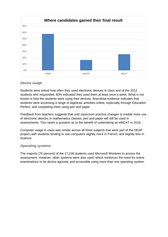

#### <span id="page-13-0"></span>*Device usage*

Students were asked how often they used electronic devices in class and of the 3312 students who responded, 80% indicated they used them at least once a week. What is not known is how the students were using their devices. Anecdotal evidence indicates that students were accessing a range of algebraic activities online, especially through Education Perfect, and completing them using pen and paper.

Feedback from teachers suggests that until classroom practice changes to enable more use of electronic devices in mathematics classes, pen and paper will still be used in assessments. This raises a question as to the benefit of undertaking an eMCAT in 2016.

Computer usage in class was similar across all three subjects that were part of the DEAP project, with students tending to use computers slightly more in French, and slightly less in Science.

#### <span id="page-13-1"></span>*Operating systems*

The majority (76 percent) of the 17,106 students used Microsoft Windows to access the assessment. However, other systems were also used, which reinforces the need for online examinations to be device-agnostic and accessible using more than one operating system.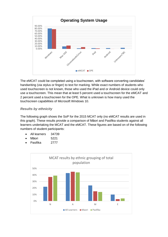

The eMCAT could be completed using a touchscreen, with software converting candidates' handwriting (via stylus or finger) to text for marking. While exact numbers of students who used touchscreen is not known, those who used the iPad and or Android device could only use a touchscreen. This mean that at least 5 percent used a touchscreen for the eMCAT and 2 percent used a touchscreen for the OPE. What is unknown is how many used the touchscreen capabilities of Microsoft Windows 10.

#### <span id="page-14-0"></span>*Results by ethnicity*

The following graph shows the SoP for the 2015 MCAT only (no eMCAT results are used in this graph). These results provide a comparison of Māori and Pasifika students against all learners undertaking the MCAT and the eMCAT. These figures are based on of the following numbers of student participants:

- All learners 34739
- Māori 5221
- Pasifika 2777

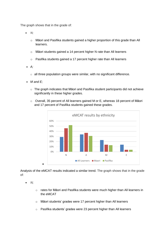The graph shows that in the grade of:

- *N;*
	- o Māori and Pasifika students gained a higher proportion of this grade than All learners.
	- o Māori students gained a 14 percent higher N rate than All learners
	- o Pasifika students gained a 17 percent higher rate than All learners
- *A;*
	- $\circ$  all three population groups were similar, with no significant difference.
- *M and E;*
	- o The graph indicates that Māori and Pasifika student participants did not achieve significantly in these higher grades.
	- o Overall, 35 percent of All learners gained M or E, whereas 18 percent of Māori and 17 percent of Pasifika students gained these grades.



Analysis of the eMCAT results indicated a similar trend. The graph shows that in the grade of:

- *N;*
- o rates for Māori and Pasifika students were much higher than All learners in the eMCAT
- o Māori students' grades were 17 percent higher than All learners
- o Pasifika students' grades were 23 percent higher than All learners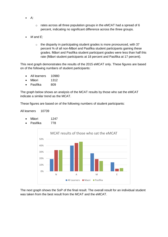- *A;*
- o rates across all three population groups in the eMCAT had a spread of 6 percent, indicating no significant difference across the three groups.
- *M and E;*
	- o the disparity in participating student grades is more pronounced, with 37 percent % of all non-Māori and Pasifika student participants gaining these grades. Māori and Pasifika student participant grades were less than half this rate (Māori student participants at 18 percent and Pasifika at 17 percent).

This next graph demonstrates the results of the 2015 eMCAT only. These figures are based on of the following numbers of student participants:

- All learners 10980
- Māori 1312
- Pasifika 809

The graph below shows an analysis of the MCAT results by those who sat the eMCAT indicate a similar trend as the MCAT.

These figures are based on of the following numbers of student participants:

All learners 10739

- Māori 1247
- Pasifika 778



The next graph shows the SoP of the final result. The overall result for an individual student was taken from the best result from the MCAT and the eMCAT.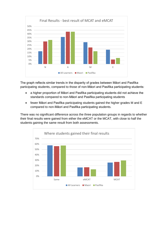

The graph reflects similar trends in the disparity of grades between Māori and Pasifika participating students, compared to those of non-Māori and Pasifika participating students:

- a higher proportion of Māori and Pasifika participating students did not achieve the standards compared to non-Māori and Pasifika participating students
- fewer Māori and Pasifika participating students gained the higher grades M and E compared to non-Māori and Pasifika participating students.

There was no significant difference across the three population groups in regards to whether their final results were gained from either the eMCAT or the MCAT, with close to half the students gaining the same result from both assessments.

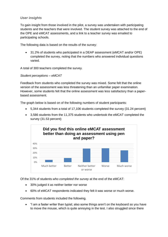#### <span id="page-18-0"></span>*User insights*

To gain insight from those involved in the pilot, a survey was undertaken with participating students and the teachers that were involved. The student survey was attached to the end of the OPE and eMCAT assessments, and a link to a teacher survey was emailed to participating schools.

The following data is based on the results of the survey:

 31.2% of students who participated in a DEAP assessment (eMCAT and/or OPE) completed the survey, noting that the numbers who answered individual questions varied.

A total of 300 teachers completed the survey.

*Student perceptions – eMCAT*

Feedback from students who completed the survey was mixed. Some felt that the online version of the assessment was less threatening than an unfamiliar paper examination. However, some students felt that the online assessment was less satisfactory than a paperbased assessment.

The graph below is based on of the following numbers of student participants:

- 5,344 students from a total of 17,106 students completed the survey (31.24 percent)
- 3,586 students from the 11,375 students who undertook the eMCAT completed the survey (31.53 percent)



Of the 31% of students *who completed the survey* at the end of the eMCAT:

- 30% judged it as neither better nor worse
- 60% of eMCAT respondents indicated they felt it was worse or much worse.

Comments from students included the following.

 "I am a faster writer than typist; also some things aren't on the keyboard so you have to move the mouse, which is quite annoying in the test. I also struggled since there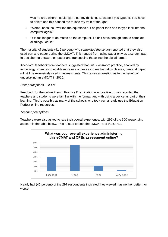was no area where I could figure out my thinking. Because if you typed it. You have to delete and this caused me to lose my train of thought."

- "Worse, because I worked the equations out on paper then had to type it all into the computer again."
- "It takes longer to do maths on the computer. I didn't have enough time to complete all things I could."

The majority of students (91.5 percent) *who completed the survey* reported that they also used pen and paper during the eMCAT. This ranged from using paper only as a scratch pad, to deciphering answers on paper and transposing these into the digital format.

Anecdotal feedback from teachers suggested that until classroom practice, enabled by technology, changes to enable more use of devices in mathematics classes, pen and paper will still be extensively used in assessments. This raises a question as to the benefit of undertaking an eMCAT in 2016.

#### *User perceptions - OPEs*

Feedback for the online French Practice Examination was positive. It was reported that teachers and students were familiar with the format, and with using a device as part of their learning. This is possibly as many of the schools who took part already use the Education Perfect online resources.

#### *Teacher perceptions*

Teachers were also asked to rate their overall experience, with 296 of the 300 responding, as seen in the table below. This related to both the eMCAT and the OPEs.



Nearly half (45 percent) of the 297 respondents indicated they viewed it as neither better nor worse.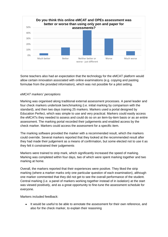

Some teachers also had an expectation that the technology for the eMCAT platform would allow certain innovation associated with online examinations (e.g. copying and pasting formulae from the provided information), which was not possible for a pilot setting.

#### *eMCAT markers' perceptions*

Marking was organised along traditional external assessment processes. A panel leader and four check markers undertook benchmarking (i.e. initial marking by comparison with the standard), and then two days training 25 markers. Markers used a portal designed by Education Perfect, which was simple to use and very practical. Markers could easily access the eMCATs they needed to assess and could do so on an item-by-item basis or as an entire assessment. The marking portal recorded their judgements and enabled access by the check marker. Markers could access the assessment for a specific item.

The marking software provided the marker with a recommended result, which the markers could override. Several markers reported that they looked at the recommended result after they had made their judgement as a means of confirmation, but some elected not to use it as they felt it constrained their judgements

Markers were trained to strip mark, which significantly increased the speed of marking. Marking was completed within four days, two of which were spent marking together and two marking at home.

Overall, the markers reported that their experiences were positive. They liked the strip marking (where a marker marks only one particular question of each examination), although one marker commented that they did not get to see the overall performance of the student. Central marking (i.e. a panel of markers working together instead of in isolation) at the start was viewed positively, and as a great opportunity to fine-tune the assessment schedule for everyone.

Markers included feedback:

• It would be useful to be able to annotate the assessment for their own reference, and also for the check marker, to explain their reasoning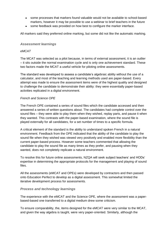- some processes that markers found valuable would not be available to school-based markers, however it may be possible to use a webinar to brief teachers in the future
- some feedback was provided on how best to configure the marker interface.

All markers said they preferred online marking, but some did not like the automatic marking.

#### <span id="page-21-0"></span>*Assessment learnings*

#### *eMCAT*

The MCAT was selected as a pilot because, in terms of external assessment, it is an outlier – it sits outside the normal examination cycle and is only one achievement standard. These two factors made the MCAT a useful vehicle for piloting online assessments.

The standard was developed to assess a candidate's algebraic ability without the use of a calculator, and most of the teaching and learning methods used are paper-based. Every attempt was made to ensure the assessment items were of the highest quality and designed to challenge the candidate to demonstrate their ability: they were essentially paper-based activities replicated in a digital environment.

#### *French and Science OPE*

The French OPE contained a series of sound files which the candidate accessed and then answered a series of written questions about. The candidates had complete control over the sound files – they were able to play them when they wished, replay parts, and pause it when they wanted. This contrasts with the paper-based examination, where the sound file is played externally for all candidates, for a set number of times to a specific formula.

A critical element of the standard is the ability to understand spoken French in a natural environment. Feedback from the OPE indicated that the ability of the candidate to play the sound file when they wished was viewed very positively and enabled more flexibility than the current paper-based process. However some teachers commented that allowing the candidate to play the sound file as many times as they prefer, and pausing when they wanted, does not completely replicate a natural environment.

To resolve this for future online assessments, NZQA will seek subject teachers' and HODs' expertise in determining the appropriate protocols for the management and playing of sound files.

All the assessments (eMCAT and OPEs) were developed by contractors and then passed onto Education Perfect to develop as a digital assessment. This somewhat limited the iterative development process for assessments.

#### <span id="page-21-1"></span>*Process and technology learnings*

The experience with the eMCAT and the Science OPE, where the assessment was a paperbased-based one transferred to a digital medium drew some criticism.

To ensure comparability, the, items designed for the eMCAT were very similar to the MCAT, and given the way algebra is taught, were very paper-oriented. Similarly, although the